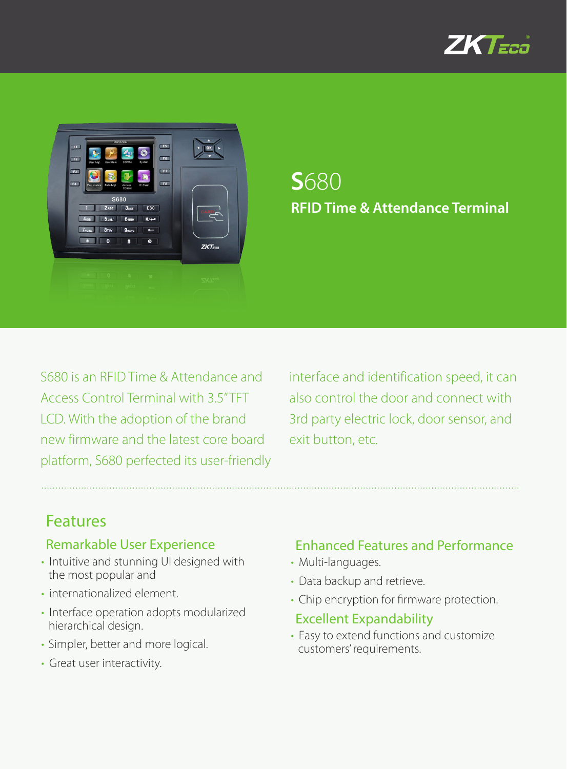



## **S**680 **RFID Time & Attendance Terminal**

S680 is an RFID Time & Attendance and Access Control Terminal with 3.5'' TFT LCD. With the adoption of the brand new firmware and the latest core board platform, S680 perfected its user-friendly interface and identification speed, it can also control the door and connect with 3rd party electric lock, door sensor, and exit button, etc.

## Features

#### Remarkable User Experience

- Intuitive and stunning UI designed with the most popular and
- internationalized element.
- Interface operation adopts modularized hierarchical design.
- Simpler, better and more logical.
- Great user interactivity.

### Enhanced Features and Performance

- Multi-languages.
- Data backup and retrieve.
- Chip encryption for firmware protection.

#### Excellent Expandability

• Easy to extend functions and customize customers' requirements.